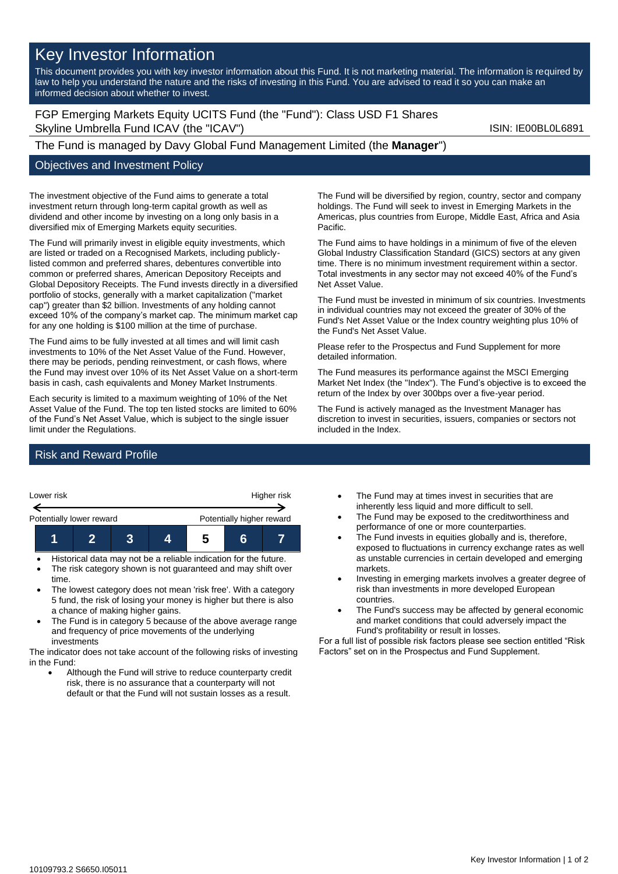# Key Investor Information

This document provides you with key investor information about this Fund. It is not marketing material. The information is required by law to help you understand the nature and the risks of investing in this Fund. You are advised to read it so you can make an informed decision about whether to invest.

FGP Emerging Markets Equity UCITS Fund (the "Fund"): Class USD F1 Shares Skyline Umbrella Fund ICAV (the "ICAV") Skyline Umbrella Fund ICAV (the "ICAV") and the state of the state of the state of the state of the state of the state of the state of the state of the state of the state of the stat

## The Fund is managed by Davy Global Fund Management Limited (the **Manager**")

### Objectives and Investment Policy

The investment objective of the Fund aims to generate a total investment return through long-term capital growth as well as dividend and other income by investing on a long only basis in a diversified mix of Emerging Markets equity securities.

The Fund will primarily invest in eligible equity investments, which are listed or traded on a Recognised Markets, including publiclylisted common and preferred shares, debentures convertible into common or preferred shares, American Depository Receipts and Global Depository Receipts. The Fund invests directly in a diversified portfolio of stocks, generally with a market capitalization ("market cap") greater than \$2 billion. Investments of any holding cannot exceed 10% of the company's market cap. The minimum market cap for any one holding is \$100 million at the time of purchase.

The Fund aims to be fully invested at all times and will limit cash investments to 10% of the Net Asset Value of the Fund. However, there may be periods, pending reinvestment, or cash flows, where the Fund may invest over 10% of its Net Asset Value on a short-term basis in cash, cash equivalents and Money Market Instruments.

Each security is limited to a maximum weighting of 10% of the Net Asset Value of the Fund. The top ten listed stocks are limited to 60% of the Fund's Net Asset Value, which is subject to the single issuer limit under the Regulations.

The Fund will be diversified by region, country, sector and company holdings. The Fund will seek to invest in Emerging Markets in the Americas, plus countries from Europe, Middle East, Africa and Asia Pacific.

The Fund aims to have holdings in a minimum of five of the eleven Global Industry Classification Standard (GICS) sectors at any given time. There is no minimum investment requirement within a sector. Total investments in any sector may not exceed 40% of the Fund's Net Asset Value.

The Fund must be invested in minimum of six countries. Investments in individual countries may not exceed the greater of 30% of the Fund's Net Asset Value or the Index country weighting plus 10% of the Fund's Net Asset Value.

Please refer to the Prospectus and Fund Supplement for more detailed information.

The Fund measures its performance against the MSCI Emerging Market Net Index (the "Index"). The Fund's objective is to exceed the return of the Index by over 300bps over a five-year period.

The Fund is actively managed as the Investment Manager has discretion to invest in securities, issuers, companies or sectors not included in the Index.

## Risk and Reward Profile



- The lowest category does not mean 'risk free'. With a category 5 fund, the risk of losing your money is higher but there is also a chance of making higher gains.
- The Fund is in category 5 because of the above average range and frequency of price movements of the underlying investments

The indicator does not take account of the following risks of investing in the Fund:

• Although the Fund will strive to reduce counterparty credit risk, there is no assurance that a counterparty will not default or that the Fund will not sustain losses as a result.

- The Fund may at times invest in securities that are inherently less liquid and more difficult to sell.
- The Fund may be exposed to the creditworthiness and performance of one or more counterparties.
- The Fund invests in equities globally and is, therefore, exposed to fluctuations in currency exchange rates as well as unstable currencies in certain developed and emerging markets.
- Investing in emerging markets involves a greater degree of risk than investments in more developed European countries.
- The Fund's success may be affected by general economic and market conditions that could adversely impact the Fund's profitability or result in losses.

For a full list of possible risk factors please see section entitled "Risk Factors" set on in the Prospectus and Fund Supplement.